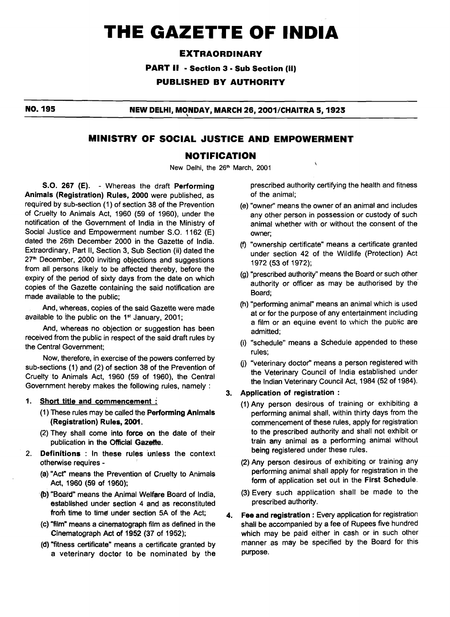# **THE GAZETTE OF INDIA**

### **EXTRAORDINARY**

**PART I1** - **Section 3** - **Sub Section (ii)** 

**PUBLISHED BY AUTHORITY** 

**NO. 195 NEW DELHI, MONDAY, MARCH 26, 2001/CHAITRA 5, 1923** 

### **MINISTRY OF SOCIAL JUSTICE AND EMPOWERMENT**

# **NOTIFICATION**<br>New Delhi, the 26<sup>th</sup> March, 2001

S.O. **267** (E). - Whereas the draft Performing Animals (Registration) Rules, **2000** were published, as required by sub-section (1) of section 38 of the Prevention of Cruelty to Animals Act, 1960 (59 of 1960), under the notification of the Government of lndia in the Ministry of Social Justice and Empowerment number S.O. 1162 (E) dated the 26th December 2000 in the Gazette of India. Extraordinary, Part II, Section 3, Sub Section (ii) dated the 27<sup>th</sup> December, 2000 inviting objections and suggestions from all persons likely to be affected thereby, before the expiry of the period of sixty days from the date on which copies of the Gazette containing the said notification are made available to the public;

And, whereas, copies of the said Gazette were made available to the public on the  $1<sup>st</sup>$  January, 2001;

And, whereas no objection or suggestion has been received from the public in respect of the said draft rules by the Central Government;

Now, therefore, in exercise of the powers conferred by sub-sections (1) and (2) of section 38 of the Prevention of Cruelty to Animals Act, 1960 (59 of 1960), the Central Government hereby makes the following rules, namely :

#### **1.** Short title and commencement :

- (1) These rules may be called the Performing Animals (Registration) Rules, **2WI.**
- (2) They shall come into **face on** the date of their publication in the Official **Gazelte.**
- $2.$ Definitions : In these rules unless the context otherwise requires -
	- (a) "Act" means the Prevention of Cruelty to Animals Act, 1960 **(59** of 1960);
	- (b) "Board" means the Animal Welfare Board of India, established under section 4 and as reconstituted from time to time under section 5A of the Act:
	- (c) "film" means a cinematograph film as defined in the Cinematograph Act of 1952 (37 of 1952);
	- (d) "fitness certificate" means a certificate granted by a veterinary doctor to be nominated by the

prescribed authority certifying the health and fitness of the animal;

- (e) "owner" means the owner of an animal and includes any other person in possession or custody of such animal whether with or without the consent of the owner;
- (9 "ownership certificate" means a certificate granted under section 42 of the Wildlife (Protection) Act 1972 (53 of 1972);
- (g) "prescribed authority" means the Board or such other authority or officer as may be authorised by the' Board;
- (h) "performing animal" means an animal which is used at or for the purpose of any entertainment including a film or an equine event to which the public are admitted;
- (i) "schedule" means a Schedule appended to these rules;
- (j) "veterinary doctor" means a person registered with the Veterinary Council of lndia established under the Indian Veterinary Council Act, 1984 (52 of 1984).

#### 3. Application of registration :

- (1) Any person desirous of training or exhibiting a performing animal shall, within thirty days from the commencement of these rules, apply for registration to the prescribed authority and shall not exhibit or train **any** animal as a performing animal without being registered under these rules.
- (2) Any person desirous of exhibiting or training any performing animal shall apply for registration in the form of application set out in the First Schedule.
- (3) Every such application shall be made to the prescribed authority.
- **4.** Fee and registration : Every application for registration shall be accompanied by a fee of Rupees five hundred which may be paid either in cash or in such other manner as may be specified by the Board for this purpose.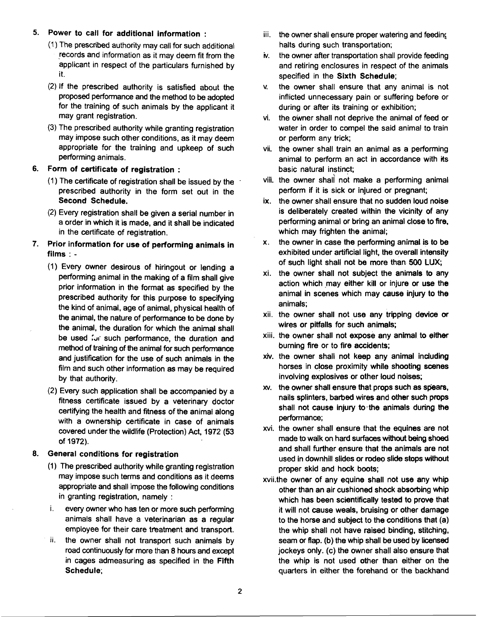- 5. Power to call for additional information : iii. the owner shall ensure proper watering and feeding
	- (1 ) The prescribed authority may call for such additional records and information as it may deem fit from the applicant in respect of the particulars furnished by it.
	- (2) If the prescribed authority is satisfied about the proposed performance and the method to be adopted for the training of such animals by the applicant it may grant registration.
	- (3) The prescribed authority while granting registration may impose such other conditions, as it may deem appropriate for the training and upkeep of such performing animals.

### **6.** Form of certificate of registration :

- (1) The certificate of registration shall be issued by the  $\cdot$ prescribed authority in the form set out in the Second Schedule.
- (2) Every registration shall be given a serial number in a order in which it is made, and it shall be indicated in the certificate of registration.
- 7. Prior information for use of performing animals in films : -
	- (1) Every owner desirous of hiringout or lending a performing animal in the making of a film shall give prior information in the format as specified by the prescribed authority for this purpose to specifying the kind of animal, age of animal, physical health of the animal, the nature of performance to be done by the animal, the duration for which the animal shall be used for such performance, the duration and method of training of the animal for such performance and justification for the use of such animals in the film and such other information as may be required by that authoritv.
	- (2) Every such application shall be accompanied by a fitness certificate issued by a veterinary doctor certifying the health and fitness of the animal along with a ownership certificate in case of animals covered under the wildlife (Protection) Act, 1972 (53 of 1972).

#### 8. General conditions for registration

- (1) The prescribed authority while granting registration may impose such terms and conditions as it deems appropriate and shall impose the following conditions in granting registration, namely :
- i. every owner who has ten or more such performing animals shall have a veterinarian as a regular employee for their care treatment and transport.
- ii. the owner shall not transport such animals by road continuously for more than 8 hours and except in cages admeasuring as specified in the Fifth Schedule;
- halts during such transportation;
- iv. the owner after transportation shall provide feeding and retiring enclosures in respect of the animals specified in the Sixth Schedule;
- **v.** the owner shall ensure that any animal is not inflicted unnecessary pain or suffering before or during or after its training or exhibition;
- **vi.** the owner shall not deprive the animal of feed or water in order to compel the said animal to train or perform any trick;
- vii. the owner shall train an animal as a performing animal to perform an act in accordance with its basic natural instinct;
- viii. the owner shali not make a performing animal perform if it is sick or injured or pregnant;
- ix. the owner shall ensure that no sudden loud noise is deliberately created within the vicinity of any performing animal or bring an animal close to fire, which may frighten the animal;
- x. the owner in case the performing animal is to be exhibited under artificial light, the overall intensity of such light shall not be more than 500 LUX;
- xi. the owner shall not subject the animals to any action which may either kill or injure or use the animal in scenes which may cause injury to the animals;
- xii. the owner shall not use any tripping device **or**  wires or pitfalls for such animals;
- xiii. the owner shall not expose any animal to either burning fire or to fire accidents;
- xiv. the owner shall not keep any animal including horses in close proximity while shooting scenes involving explosives or other loud noises;
- xv. the owner shall ensure that props such as spears, nails splinters, barbed wires and other such props shall not cause injury to-the animals during the performance;
- xvi. the owner shall ensure that the equines are not made to walk on hard surfaces without being shoed and shall further ensure that the animals are not used in downhill slides or rodeo slide stops without proper skid and hock boots;
- xvii.the owner of any equine shall not use any whip other than an air cushioned shock absorbing whip which has been scientifically tested to prove that it will not cause weals, bruising or other damage to the horse and subject to the conditions that (a) the whip shall not have raised binding, stitching, seam or flap. (b) the whip shall be used by licensed jockeys only. (c) the owner shall also ensure that the whip is not used other than either on the quarters in either the forehand or the backhand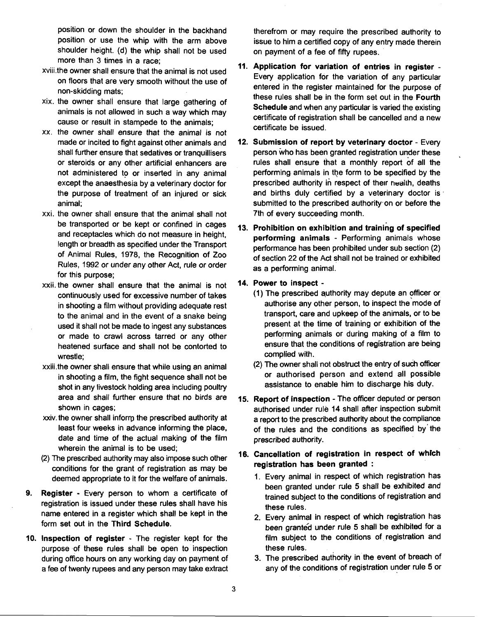shoulder height. (d) the whip shall not be used more than 3 times in a race;

- xviii.the owner shall ensure that the animal is not used on floors that are very smooth without the use of non-skidding mats;
- xix. the owner shall ensure that large gathering of animals is not allowed in such a way which may cause or result in stampede to the animals;
- xx. the owner shall ensure that the animal is not made or incited to fight against other animals and shall further ensure that sedatives or tranquillisers or steroids or any other artificial enhancers are not administered to or inserted in any animal except the anaesthesia by a veterinary doctor for the purpose of treatment of an injured or sick animal;
- xxi. the owner shall ensure that the animal shall not be transported or be kept or confined in cages and receptacles which do not measure in height, length or breadth as specified under the Transport of Animal Rules, 1978, the Recognition of Zoo Rules, 1992 or under any other Act, rule or order for this purpose;
- xxii. the owner shall ensure that the animal is not continuously used for excessive number of takes in shooting a film without providing adequate rest to the animal and in the event of a snake being used it shall not be made to ingest any substances or made to crawl across tarred or any other heatened surface and shall not be contorted to wrestle;
- xxiii.the owner shall ensure that while using an animal in shooting a film, the fight sequence shall not be shot in any livestock holding area including poultry area and shall further ensure that no birds are shown in cages:
- xxiv. the owner shall inforrp the prescribed authority at least four weeks in advance informing the place, date and time of the actual making of the film wherein the animal is to be used;
- (2) The prescribed authority may also impose such other conditions for the grant of registration as may be deemed appropriate to it for the welfare of animals.
- **9. Register**  Every person to whom a certificate of registration is issued under these rules shall have his name entered in a register which shall be kept in the form set out in the **Third Schedule.**
- **10. Inspection of register**  The register kept for the purpose of these rules shall be open to inspection during office hours on any working day on payment of a fee of twenty rupees and any person may take extract

position or down the shoulder in the backhand therefrom or may require the prescribed authority to position or use the whip with the arm above issue to him a certified copy of any entry made therein issue to him a certified copy of any entry made therein on payment of a fee of fifty rupees.

- **Application for variation of entries in register**  Every application for the variation of any particular entered in the register maintained for the purpose of these rules shall be in the form set out in the **Fourth Schedule** and when any particular is varied the existing certificate of registration shall be cancelled and a new certificate be issued.
- **12. Submission of report by veterinary doctor**  Every person who has been granted registration under these rules shall ensure that a monthly report of all the performing animals in the form to be specified by the prescribed authority in respect of their nealth, deaths and births duly certified by a veterinary doctor is. submitted to the prescribed authority on or before the 7th of every succeeding month.
- **13. Prohibition on exhibition and training of specified performing animals** - Performing animals whose performance has been prohibited under sub section (2) of section 22 of the Act shall not be trained or exhibited as a performing animal.

#### **14. Power to inspect** -

- (1) The prescribed quthority may depute an officer or authorise any other person, to inspect the'mode of transport, care and upkeep of the animals, or to be present at the time of training or exhibition of the performing animals or during making of a film to ensure that the conditions of registration are being complied with.
- (2) The owner shall not obstruct the entry of such officer or authorised person and extend all possible assistance to enable him to discharge his duty.
- **15. Report of inspection**  The officer deputed or person authorised under rule 14 shall after inspection submit a report to the prescribed authority about the compliance of the rules and the conditions as specified by'the prescribed authority.

#### **16. Cancellation of registration in respect of which registration has been granted** :

- 1. Every animal in respect of which registration has been granted under rule 5 shall be exhibited and trained subject to the conditions of registration and these rules.
- 2. Every animal in respect of which registration has been granted under rule 5 shall be exhibited for a film subject to the conditions of registration and these rules.
- 3. The prescribed authority in the event of breach of any of the conditions of registration under rule 5 or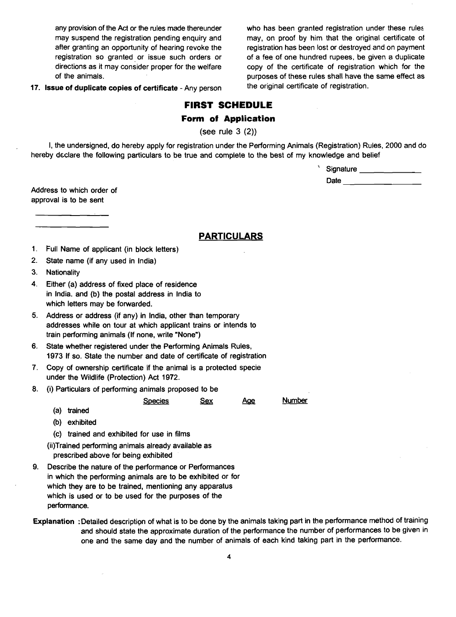any provision of the Act or the rules made thereunder who has been granted registration under these rules may suspend the registration pending enquiry and may, on proof by him that the original certificate of after granting an opportunity of hearing revoke the registration has been lost or destroyed and on payment<br>registration so granted or issue such orders or of a fee of one hundred rupees, be given a duplicate of a fee of one hundred rupees, be given a duplicate directions as it may consider proper for the welfare copy of the certificate of registration which for the of the animals.<br> **purposes of these rules shall have the same effect as**<br> **purposes of these rules shall have the same effect as**<br> **the original certificate of registration**.

17. Issue of duplicate copies of certificate - Any person

## **FIRST SCHEDULE**

#### **Form of Application**

(see rule 3 (2))

I, the undersigned, do hereby apply for registration under the Performing Animals (Registration) Rules, 2000 and do hereby declare the following particulars to be true and complete to the best of my knowledge and belief

> Signature \_\_\_\_\_\_\_\_\_\_\_\_\_\_\_\_\_ Date  $\qquad \qquad \qquad$

Address to which order of approval is to be sent

**PARTICULARS** 

- $1.$ Full Name of applicant (in block letters)
- State name (if any used in India)
- 3. Nationality
- Either (a) address of fixed place of residence in India. and (b) the postal address in India to which letters may be forwarded.
- Address or address (if any) in India, other than temporary addresses while on tour at which applicant trains or intends to train performing animals (If none, write "None")
- State whether registered under the Performing Animals Rules,  $6.$ 1973 If so. State the number and date of certificate of registration
- Copy of ownership certificate if the animal is a protected specie under the Wildlife (Protection) Act 1972. S~ecies - Sex **A@** Number
- 8. (i) Particulars of performing animals proposed to be

(b) exhibited

(a) trained

(c) trained and exhibited for use in films

(ii)Trained performing animals already available as prescribed above for being exhibited

- Describe the nature of the performance or Performances in which the performing animals are to be exhibited or for which they are to be trained, mentioning any apparatus which is used or to be used for the purposes of the performance.
- Explanation :Detailed description of what is to be done by the animals taking part in the perforrnance method of training and should state the approximate duration of the perforrnance the number of performances to be given in one and the same day and the number of animals of each kind taking part in the performance.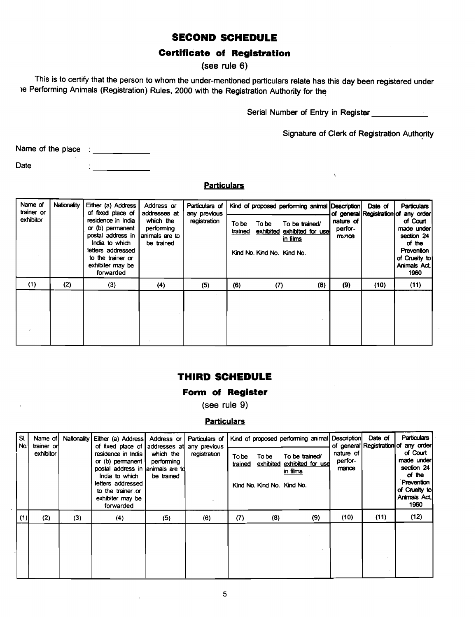# **SECOND SCHEDULE**

# **Certificate of Registration**

## **(see rule 6)**

This is to certify that the person to whom the under-mentioned particulars relate has this day been registered under le Performing Animals (Registration) Rules, 2000 with the Registration Authority for the

Serial Number of Entry in Register

Signature of Clerk of Registration Authority

Name of the place :

Date  $\frac{1}{2}$   $\frac{1}{2}$   $\frac{1}{2}$   $\frac{1}{2}$   $\frac{1}{2}$   $\frac{1}{2}$   $\frac{1}{2}$   $\frac{1}{2}$   $\frac{1}{2}$   $\frac{1}{2}$   $\frac{1}{2}$   $\frac{1}{2}$   $\frac{1}{2}$   $\frac{1}{2}$   $\frac{1}{2}$   $\frac{1}{2}$   $\frac{1}{2}$   $\frac{1}{2}$   $\frac{1}{2}$   $\frac{1}{2}$   $\frac{1}{2}$   $\frac{1}{$ 

#### **Particulars**

| Name of<br>trainer or<br>exhibitor | Nationality | Either (a) Address<br>of fixed place of<br>residence in India<br>or (b) permanent<br>postal address in<br>India to which<br>letters addressed<br>to the trainer or<br>exhibiter may be<br>forwarded | Address or<br>addresses at<br>which the<br>performing<br>animals are to<br>be trained | Particulars of I<br>any previous<br>registration | To be<br>trained | To be<br>Kind No. Kind No. Kind No. | Kind of proposed performing animal Description<br>To be trained/<br>exhibited exhibited for use<br>in films | nature of<br>perfor-<br>manos | Date of<br>of general Registration of | <b>Particulars</b><br>any order<br>of Court<br>made under<br>section 24<br>of the<br>Prevention<br>of Cruelty to<br>Animals Act.<br>1960 |
|------------------------------------|-------------|-----------------------------------------------------------------------------------------------------------------------------------------------------------------------------------------------------|---------------------------------------------------------------------------------------|--------------------------------------------------|------------------|-------------------------------------|-------------------------------------------------------------------------------------------------------------|-------------------------------|---------------------------------------|------------------------------------------------------------------------------------------------------------------------------------------|
| (1)                                | (2)         | (3)                                                                                                                                                                                                 | (4)                                                                                   | (5)                                              | (6)              | (7)                                 | (8)                                                                                                         | (9)                           | (10)                                  | (11)                                                                                                                                     |
|                                    |             |                                                                                                                                                                                                     |                                                                                       |                                                  |                  |                                     |                                                                                                             |                               |                                       |                                                                                                                                          |

## **THIRD SCHEDULE**

#### **Form of Register**

**(see rule 9)** 

## **Particulars**

|            |                                      |     |                                                                                                                                                                                                                                          |                                                                     | <b>Particulars</b>                             |                  |                                     |                                                                                                             |                               |                                       |                                                                                                                                   |
|------------|--------------------------------------|-----|------------------------------------------------------------------------------------------------------------------------------------------------------------------------------------------------------------------------------------------|---------------------------------------------------------------------|------------------------------------------------|------------------|-------------------------------------|-------------------------------------------------------------------------------------------------------------|-------------------------------|---------------------------------------|-----------------------------------------------------------------------------------------------------------------------------------|
| SI.<br>No. | Name of I<br>trainer or<br>exhibitor |     | Nationality Either (a) Address<br>of fixed place of<br>residence in India I<br>or (b) permanent $\vert$<br>postal address in animals are to<br>India to which<br>letters addressed<br>to the trainer or<br>exhibiter may be<br>forwarded | Address or<br>addresses at<br>which the<br>performing<br>be trained | Particulars of<br>any previous<br>registration | To be<br>trained | To be<br>Kind No. Kind No. Kind No. | Kind of proposed performing animal Description<br>To be trained/<br>exhibited exhibited for use<br>in films | nature of<br>perfor-<br>mance | Date of<br>of general Registration of | Particulars<br>any order<br>of Court<br>made under<br>section 24<br>of the<br>Prevention<br>of Cruelty to<br>Animals Act.<br>1960 |
| (1)        | (2)                                  | (3) | (4)                                                                                                                                                                                                                                      | (5)                                                                 | (6)                                            | (7)              | (8)                                 | (9)                                                                                                         | (10)                          | (11)                                  | (12)                                                                                                                              |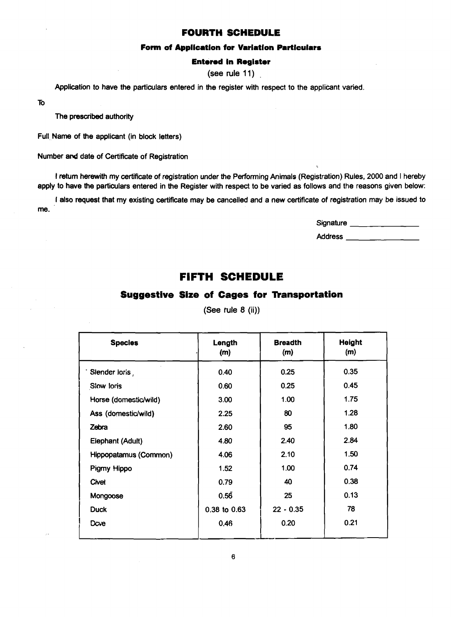#### **FOURTH SCHEDULE**

#### **Form of Appllcatlon for Varlatlon Particulars**

#### **Entered In Reglster**

(see rule 11)

Application to have the particulars entered in the register with respect to the applicant varied.

To

The prescribed authority

Full Name of the applicant (in block letters)

Number and date of Certificate of Registration

I **return** herewith my certificate of registration under the Performing Animals (Registration) Rules, 2000 and I hereby apply to have the particulars entered in the Register with respect to be varied as follows and the reasons given below:

I also request that my existing certificate may be cancelled and a new certificate of registration may be issued to me.

Signature \_\_\_\_\_\_\_\_\_\_\_\_\_

**i** 

Address

# **FIFTH SCHEDULE**

## **Suggestive Size of Cages for Transportation**

| <b>Species</b>        | Length<br>(m) | <b>Breadth</b><br>(m) | <b>Height</b><br>(m) |  |
|-----------------------|---------------|-----------------------|----------------------|--|
| Slender loris,        | 0.40          | 0.25                  | 0.35                 |  |
| Slow loris            | 0.60          | 0.25                  | 0.45                 |  |
| Horse (domestic/wild) | 3.00          | 1.00                  | 1.75                 |  |
| Ass (domestic/wild)   | 2.25          | 80                    | 1.28                 |  |
| Zebra                 | 2.60          | 95                    | 1.80                 |  |
| Elephant (Adult)      | 4.80          | 2.40                  | 2.84                 |  |
| Hippopatamus (Common) | 4.06          | 2.10                  | 1.50                 |  |
| Pigmy Hippo           | 1.52          | 1.00                  | 0.74                 |  |
| Civet                 | 0.79          | 40                    | 0.38                 |  |
| Mongoose              | 0.56          | 25                    | 0.13                 |  |
| <b>Duck</b>           | 0.38 to 0.63  | $22 - 0.35$           | 78                   |  |
| Dove                  | 0,46          | 0.20                  | 0.21                 |  |

(See tule **8** (ii))